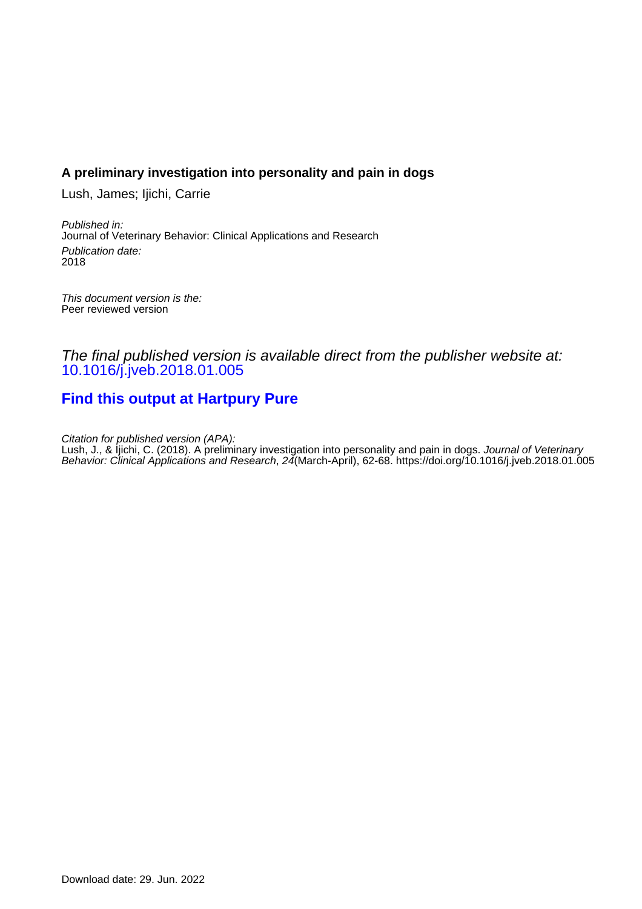# **A preliminary investigation into personality and pain in dogs**

Lush, James; Ijichi, Carrie

Published in: Journal of Veterinary Behavior: Clinical Applications and Research Publication date: 2018

This document version is the: Peer reviewed version

The final published version is available direct from the publisher website at: [10.1016/j.jveb.2018.01.005](https://doi.org/10.1016/j.jveb.2018.01.005)

# **[Find this output at Hartpury Pure](https://hartpury.pure.elsevier.com/en/publications/c0149b65-a8d3-43b1-b9eb-25281cc12bcd)**

Citation for published version (APA): Lush, J., & Ijichi, C. (2018). A preliminary investigation into personality and pain in dogs. Journal of Veterinary Behavior: Clinical Applications and Research, 24(March-April), 62-68.<https://doi.org/10.1016/j.jveb.2018.01.005>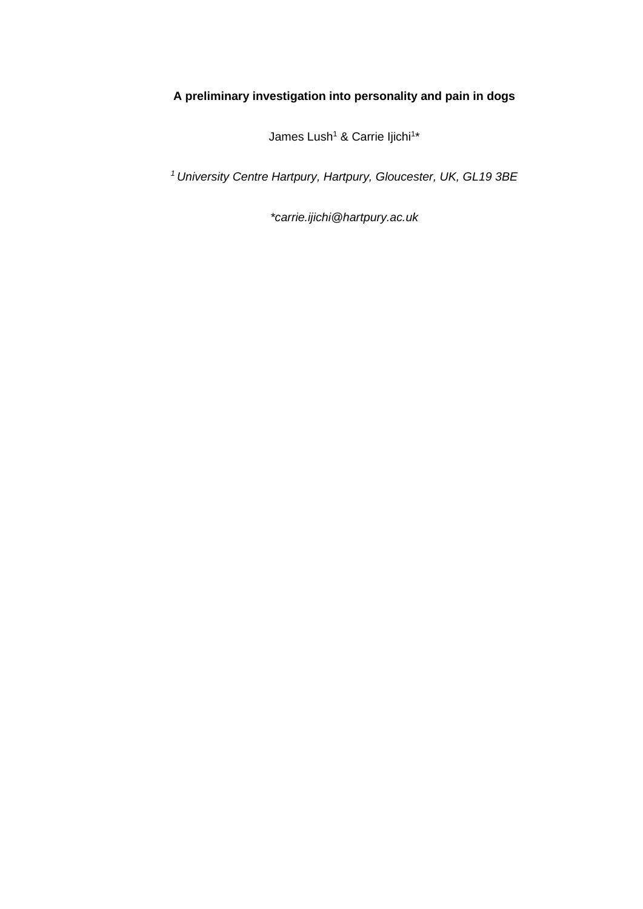# **A preliminary investigation into personality and pain in dogs**

James Lush<sup>1</sup> & Carrie Ijichi<sup>1\*</sup>

*<sup>1</sup>University Centre Hartpury, Hartpury, Gloucester, UK, GL19 3BE*

*\*carrie.ijichi@hartpury.ac.uk*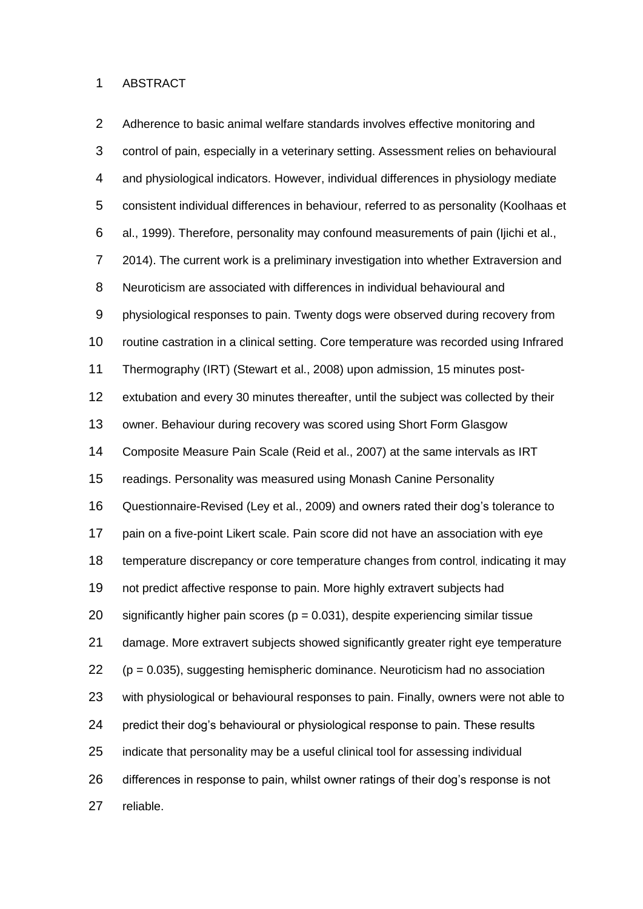#### ABSTRACT

 Adherence to basic animal welfare standards involves effective monitoring and control of pain, especially in a veterinary setting. Assessment relies on behavioural and physiological indicators. However, individual differences in physiology mediate consistent individual differences in behaviour, referred to as personality (Koolhaas et al., 1999). Therefore, personality may confound measurements of pain (Ijichi et al., 2014). The current work is a preliminary investigation into whether Extraversion and Neuroticism are associated with differences in individual behavioural and physiological responses to pain. Twenty dogs were observed during recovery from routine castration in a clinical setting. Core temperature was recorded using Infrared Thermography (IRT) (Stewart et al., 2008) upon admission, 15 minutes post- extubation and every 30 minutes thereafter, until the subject was collected by their owner. Behaviour during recovery was scored using Short Form Glasgow Composite Measure Pain Scale (Reid et al., 2007) at the same intervals as IRT readings. Personality was measured using Monash Canine Personality Questionnaire-Revised (Ley et al., 2009) and owners rated their dog's tolerance to pain on a five-point Likert scale. Pain score did not have an association with eye temperature discrepancy or core temperature changes from control, indicating it may not predict affective response to pain. More highly extravert subjects had 20 significantly higher pain scores ( $p = 0.031$ ), despite experiencing similar tissue damage. More extravert subjects showed significantly greater right eye temperature (p = 0.035), suggesting hemispheric dominance. Neuroticism had no association with physiological or behavioural responses to pain. Finally, owners were not able to predict their dog's behavioural or physiological response to pain. These results indicate that personality may be a useful clinical tool for assessing individual differences in response to pain, whilst owner ratings of their dog's response is not reliable.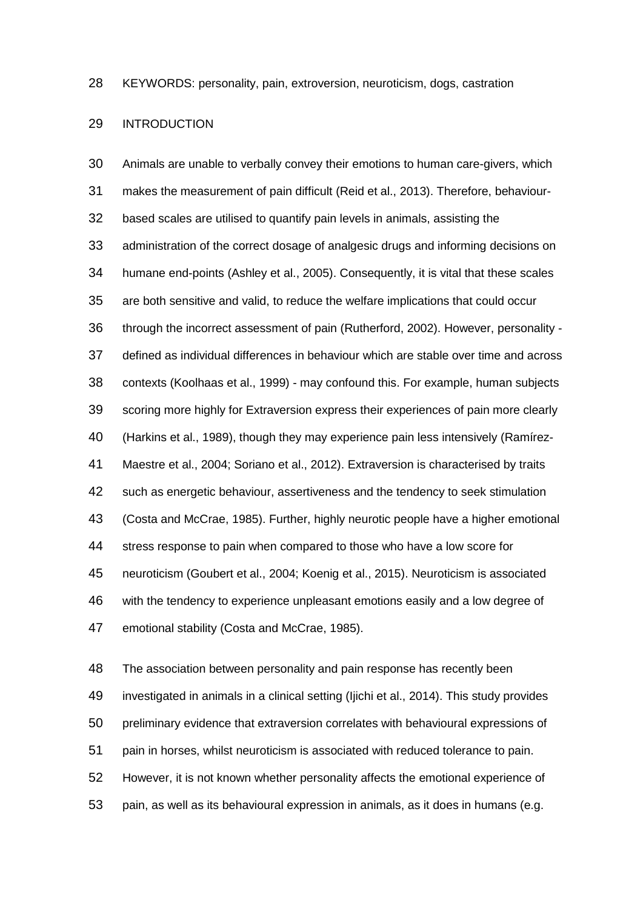KEYWORDS: personality, pain, extroversion, neuroticism, dogs, castration

#### INTRODUCTION

 Animals are unable to verbally convey their emotions to human care-givers, which makes the measurement of pain difficult (Reid et al., 2013). Therefore, behaviour- based scales are utilised to quantify pain levels in animals, assisting the administration of the correct dosage of analgesic drugs and informing decisions on humane end-points (Ashley et al., 2005). Consequently, it is vital that these scales are both sensitive and valid, to reduce the welfare implications that could occur through the incorrect assessment of pain (Rutherford, 2002). However, personality - defined as individual differences in behaviour which are stable over time and across contexts (Koolhaas et al., 1999) - may confound this. For example, human subjects scoring more highly for Extraversion express their experiences of pain more clearly (Harkins et al., 1989), though they may experience pain less intensively (Ramírez- Maestre et al., 2004; Soriano et al., 2012). Extraversion is characterised by traits such as energetic behaviour, assertiveness and the tendency to seek stimulation (Costa and McCrae, 1985). Further, highly neurotic people have a higher emotional stress response to pain when compared to those who have a low score for neuroticism (Goubert et al., 2004; Koenig et al., 2015). Neuroticism is associated with the tendency to experience unpleasant emotions easily and a low degree of emotional stability (Costa and McCrae, 1985).

 The association between personality and pain response has recently been investigated in animals in a clinical setting (Ijichi et al., 2014). This study provides preliminary evidence that extraversion correlates with behavioural expressions of pain in horses, whilst neuroticism is associated with reduced tolerance to pain. However, it is not known whether personality affects the emotional experience of pain, as well as its behavioural expression in animals, as it does in humans (e.g.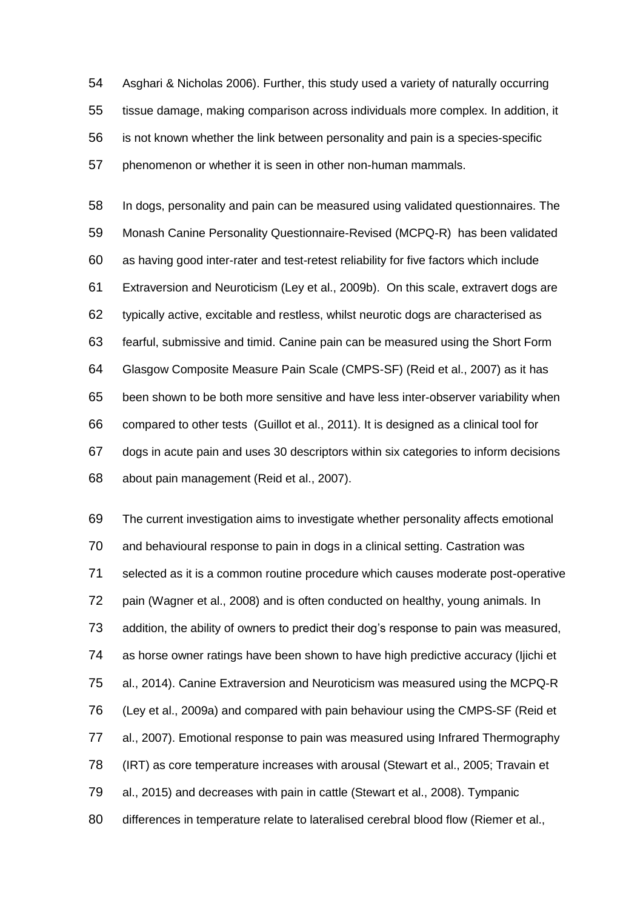Asghari & Nicholas 2006). Further, this study used a variety of naturally occurring tissue damage, making comparison across individuals more complex. In addition, it is not known whether the link between personality and pain is a species-specific phenomenon or whether it is seen in other non-human mammals.

 In dogs, personality and pain can be measured using validated questionnaires. The Monash Canine Personality Questionnaire-Revised (MCPQ-R) has been validated as having good inter-rater and test-retest reliability for five factors which include Extraversion and Neuroticism (Ley et al., 2009b). On this scale, extravert dogs are typically active, excitable and restless, whilst neurotic dogs are characterised as fearful, submissive and timid. Canine pain can be measured using the Short Form Glasgow Composite Measure Pain Scale (CMPS-SF) (Reid et al., 2007) as it has been shown to be both more sensitive and have less inter-observer variability when compared to other tests (Guillot et al., 2011). It is designed as a clinical tool for dogs in acute pain and uses 30 descriptors within six categories to inform decisions about pain management (Reid et al., 2007).

 The current investigation aims to investigate whether personality affects emotional and behavioural response to pain in dogs in a clinical setting. Castration was selected as it is a common routine procedure which causes moderate post-operative pain (Wagner et al., 2008) and is often conducted on healthy, young animals. In addition, the ability of owners to predict their dog's response to pain was measured, as horse owner ratings have been shown to have high predictive accuracy (Ijichi et al., 2014). Canine Extraversion and Neuroticism was measured using the MCPQ-R (Ley et al., 2009a) and compared with pain behaviour using the CMPS-SF (Reid et al., 2007). Emotional response to pain was measured using Infrared Thermography (IRT) as core temperature increases with arousal (Stewart et al., 2005; Travain et al., 2015) and decreases with pain in cattle (Stewart et al., 2008). Tympanic 80 differences in temperature relate to lateralised cerebral blood flow (Riemer et al.,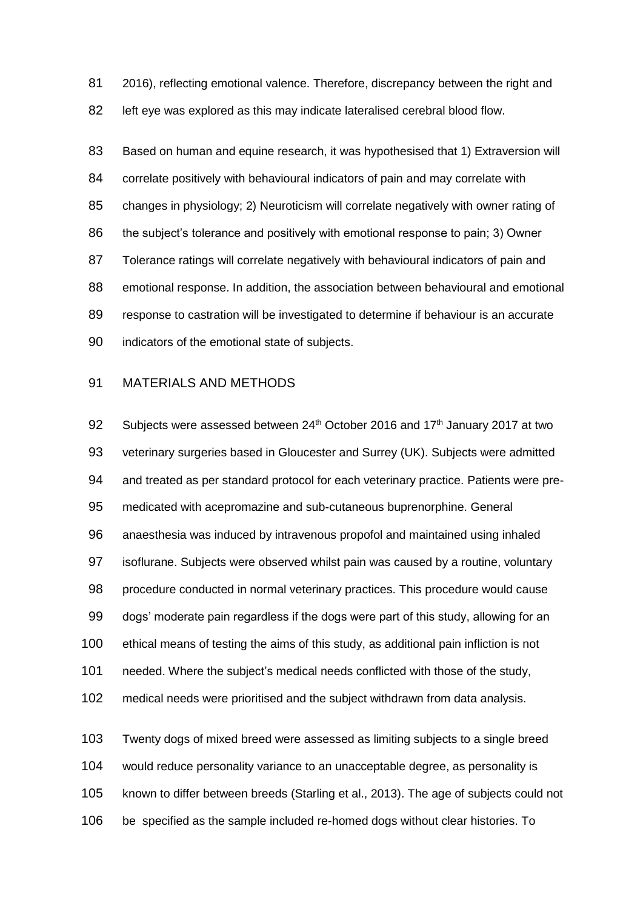2016), reflecting emotional valence. Therefore, discrepancy between the right and left eye was explored as this may indicate lateralised cerebral blood flow.

 Based on human and equine research, it was hypothesised that 1) Extraversion will correlate positively with behavioural indicators of pain and may correlate with changes in physiology; 2) Neuroticism will correlate negatively with owner rating of the subject's tolerance and positively with emotional response to pain; 3) Owner Tolerance ratings will correlate negatively with behavioural indicators of pain and emotional response. In addition, the association between behavioural and emotional response to castration will be investigated to determine if behaviour is an accurate indicators of the emotional state of subjects.

# MATERIALS AND METHODS

92 Subjects were assessed between 24<sup>th</sup> October 2016 and 17<sup>th</sup> January 2017 at two veterinary surgeries based in Gloucester and Surrey (UK). Subjects were admitted and treated as per standard protocol for each veterinary practice. Patients were pre- medicated with acepromazine and sub-cutaneous buprenorphine. General anaesthesia was induced by intravenous propofol and maintained using inhaled isoflurane. Subjects were observed whilst pain was caused by a routine, voluntary procedure conducted in normal veterinary practices. This procedure would cause dogs' moderate pain regardless if the dogs were part of this study, allowing for an ethical means of testing the aims of this study, as additional pain infliction is not needed. Where the subject's medical needs conflicted with those of the study, medical needs were prioritised and the subject withdrawn from data analysis. Twenty dogs of mixed breed were assessed as limiting subjects to a single breed

would reduce personality variance to an unacceptable degree, as personality is

known to differ between breeds (Starling et al., 2013). The age of subjects could not

be specified as the sample included re-homed dogs without clear histories. To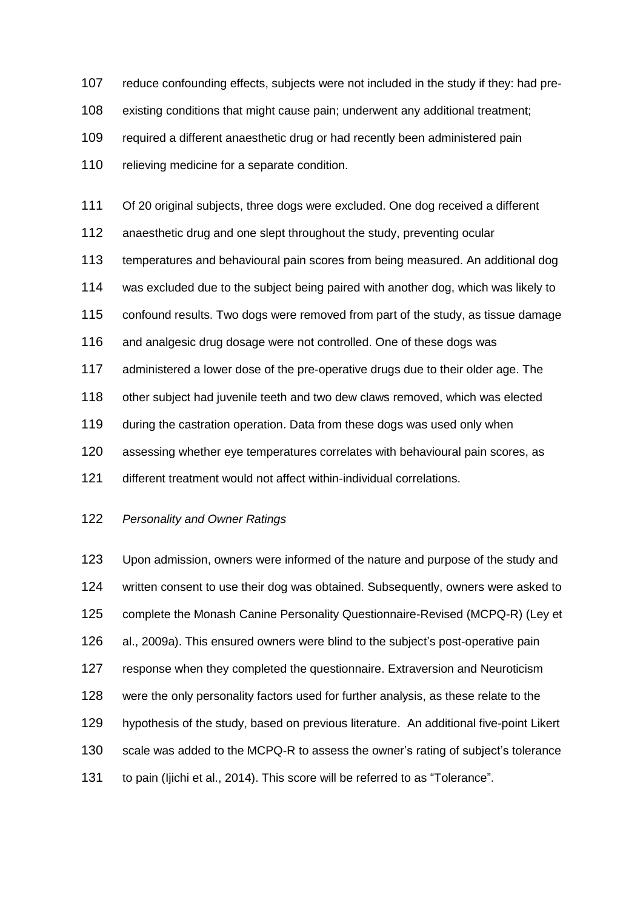reduce confounding effects, subjects were not included in the study if they: had pre- existing conditions that might cause pain; underwent any additional treatment; required a different anaesthetic drug or had recently been administered pain 110 relieving medicine for a separate condition.

Of 20 original subjects, three dogs were excluded. One dog received a different

anaesthetic drug and one slept throughout the study, preventing ocular

temperatures and behavioural pain scores from being measured. An additional dog

was excluded due to the subject being paired with another dog, which was likely to

confound results. Two dogs were removed from part of the study, as tissue damage

and analgesic drug dosage were not controlled. One of these dogs was

administered a lower dose of the pre-operative drugs due to their older age. The

other subject had juvenile teeth and two dew claws removed, which was elected

during the castration operation. Data from these dogs was used only when

assessing whether eye temperatures correlates with behavioural pain scores, as

different treatment would not affect within-individual correlations.

## *Personality and Owner Ratings*

 Upon admission, owners were informed of the nature and purpose of the study and written consent to use their dog was obtained. Subsequently, owners were asked to complete the Monash Canine Personality Questionnaire-Revised (MCPQ-R) (Ley et al., 2009a). This ensured owners were blind to the subject's post-operative pain response when they completed the questionnaire. Extraversion and Neuroticism were the only personality factors used for further analysis, as these relate to the hypothesis of the study, based on previous literature. An additional five-point Likert scale was added to the MCPQ-R to assess the owner's rating of subject's tolerance to pain (Ijichi et al., 2014). This score will be referred to as "Tolerance".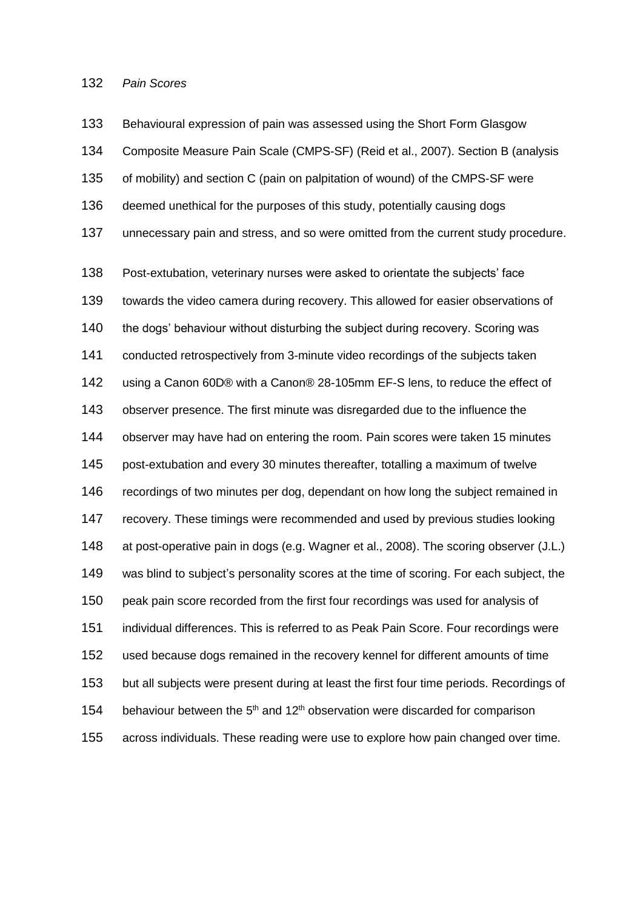## *Pain Scores*

 Behavioural expression of pain was assessed using the Short Form Glasgow Composite Measure Pain Scale (CMPS-SF) (Reid et al., 2007). Section B (analysis of mobility) and section C (pain on palpitation of wound) of the CMPS-SF were deemed unethical for the purposes of this study, potentially causing dogs unnecessary pain and stress, and so were omitted from the current study procedure.

 Post-extubation, veterinary nurses were asked to orientate the subjects' face towards the video camera during recovery. This allowed for easier observations of 140 the dogs' behaviour without disturbing the subject during recovery. Scoring was conducted retrospectively from 3-minute video recordings of the subjects taken using a Canon 60D® with a Canon® 28-105mm EF-S lens, to reduce the effect of observer presence. The first minute was disregarded due to the influence the observer may have had on entering the room. Pain scores were taken 15 minutes post-extubation and every 30 minutes thereafter, totalling a maximum of twelve recordings of two minutes per dog, dependant on how long the subject remained in recovery. These timings were recommended and used by previous studies looking at post-operative pain in dogs (e.g. Wagner et al., 2008). The scoring observer (J.L.) was blind to subject's personality scores at the time of scoring. For each subject, the peak pain score recorded from the first four recordings was used for analysis of individual differences. This is referred to as Peak Pain Score. Four recordings were used because dogs remained in the recovery kennel for different amounts of time but all subjects were present during at least the first four time periods. Recordings of 154 behaviour between the  $5<sup>th</sup>$  and 12<sup>th</sup> observation were discarded for comparison across individuals. These reading were use to explore how pain changed over time.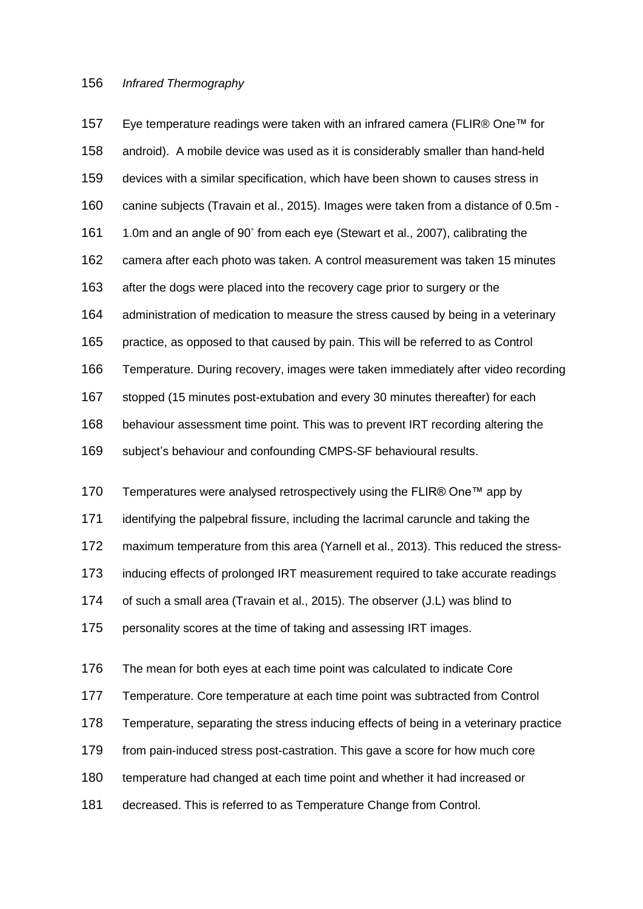#### *Infrared Thermography*

 Eye temperature readings were taken with an infrared camera (FLIR® One™ for android). A mobile device was used as it is considerably smaller than hand-held devices with a similar specification, which have been shown to causes stress in canine subjects (Travain et al., 2015). Images were taken from a distance of 0.5m - 1.0m and an angle of 90˚ from each eye (Stewart et al., 2007), calibrating the camera after each photo was taken. A control measurement was taken 15 minutes after the dogs were placed into the recovery cage prior to surgery or the administration of medication to measure the stress caused by being in a veterinary practice, as opposed to that caused by pain. This will be referred to as Control Temperature. During recovery, images were taken immediately after video recording stopped (15 minutes post-extubation and every 30 minutes thereafter) for each behaviour assessment time point. This was to prevent IRT recording altering the subject's behaviour and confounding CMPS-SF behavioural results.

170 Temperatures were analysed retrospectively using the FLIR® One™ app by

identifying the palpebral fissure, including the lacrimal caruncle and taking the

maximum temperature from this area (Yarnell et al., 2013). This reduced the stress-

inducing effects of prolonged IRT measurement required to take accurate readings

of such a small area (Travain et al., 2015). The observer (J.L) was blind to

personality scores at the time of taking and assessing IRT images.

 The mean for both eyes at each time point was calculated to indicate Core Temperature. Core temperature at each time point was subtracted from Control Temperature, separating the stress inducing effects of being in a veterinary practice from pain-induced stress post-castration. This gave a score for how much core temperature had changed at each time point and whether it had increased or decreased. This is referred to as Temperature Change from Control.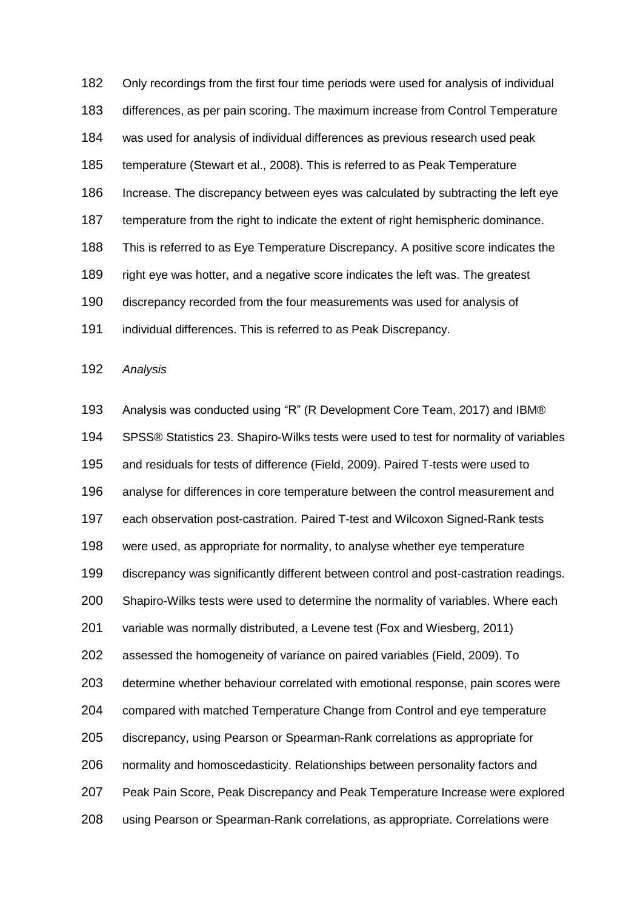Only recordings from the first four time periods were used for analysis of individual differences, as per pain scoring. The maximum increase from Control Temperature was used for analysis of individual differences as previous research used peak temperature (Stewart et al., 2008). This is referred to as Peak Temperature Increase. The discrepancy between eyes was calculated by subtracting the left eye temperature from the right to indicate the extent of right hemispheric dominance. This is referred to as Eye Temperature Discrepancy. A positive score indicates the right eye was hotter, and a negative score indicates the left was. The greatest discrepancy recorded from the four measurements was used for analysis of individual differences. This is referred to as Peak Discrepancy.

*Analysis*

 Analysis was conducted using "R" (R Development Core Team, 2017) and IBM® SPSS® Statistics 23. Shapiro-Wilks tests were used to test for normality of variables and residuals for tests of difference (Field, 2009). Paired T-tests were used to analyse for differences in core temperature between the control measurement and each observation post-castration. Paired T-test and Wilcoxon Signed-Rank tests were used, as appropriate for normality, to analyse whether eye temperature discrepancy was significantly different between control and post-castration readings. Shapiro-Wilks tests were used to determine the normality of variables. Where each variable was normally distributed, a Levene test (Fox and Wiesberg, 2011) assessed the homogeneity of variance on paired variables (Field, 2009). To determine whether behaviour correlated with emotional response, pain scores were compared with matched Temperature Change from Control and eye temperature discrepancy, using Pearson or Spearman-Rank correlations as appropriate for normality and homoscedasticity. Relationships between personality factors and Peak Pain Score, Peak Discrepancy and Peak Temperature Increase were explored using Pearson or Spearman-Rank correlations, as appropriate. Correlations were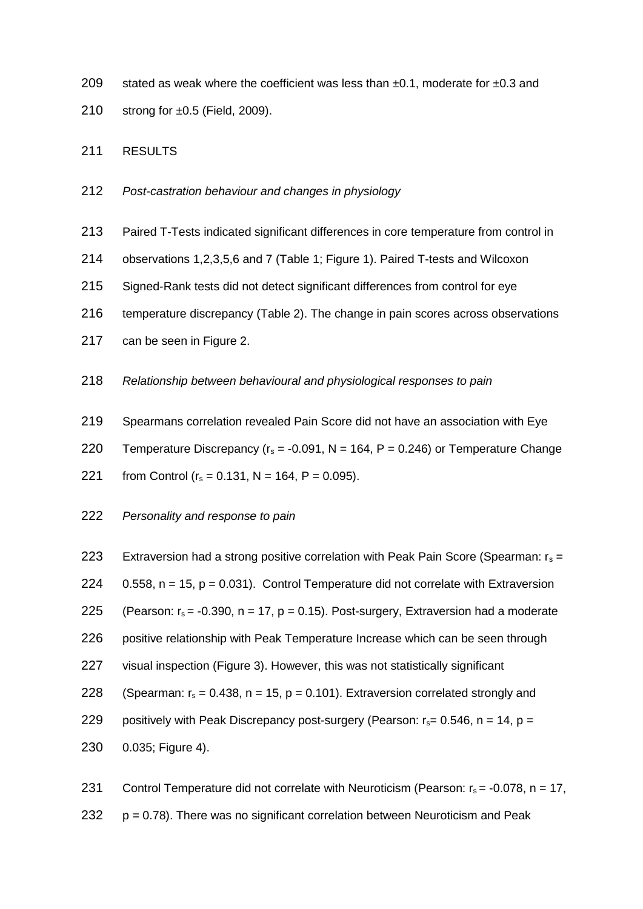- 209 stated as weak where the coefficient was less than  $\pm 0.1$ , moderate for  $\pm 0.3$  and
- 210 strong for ±0.5 (Field, 2009).

# 211 RESULTS

- 212 *Post-castration behaviour and changes in physiology*
- 213 Paired T-Tests indicated significant differences in core temperature from control in
- 214 observations 1,2,3,5,6 and 7 (Table 1; Figure 1). Paired T-tests and Wilcoxon
- 215 Signed-Rank tests did not detect significant differences from control for eye
- 216 temperature discrepancy (Table 2). The change in pain scores across observations
- 217 can be seen in Figure 2.
- 218 *Relationship between behavioural and physiological responses to pain*
- 219 Spearmans correlation revealed Pain Score did not have an association with Eye
- 220 Temperature Discrepancy ( $r_s = -0.091$ , N = 164, P = 0.246) or Temperature Change
- 221 from Control ( $r_s = 0.131$ , N = 164, P = 0.095).
- 222 *Personality and response to pain*
- 223 Extraversion had a strong positive correlation with Peak Pain Score (Spearman:  $r_s =$ 224  $0.558$ ,  $n = 15$ ,  $p = 0.031$ ). Control Temperature did not correlate with Extraversion 225 (Pearson:  $r_s = -0.390$ , n = 17, p = 0.15). Post-surgery, Extraversion had a moderate 226 positive relationship with Peak Temperature Increase which can be seen through 227 visual inspection (Figure 3). However, this was not statistically significant 228 (Spearman:  $r_s = 0.438$ , n = 15, p = 0.101). Extraversion correlated strongly and 229 positively with Peak Discrepancy post-surgery (Pearson:  $r_s$  = 0.546, n = 14, p = 230 0.035; Figure 4).
- 231 Control Temperature did not correlate with Neuroticism (Pearson:  $r_s = -0.078$ , n = 17, 232  $p = 0.78$ ). There was no significant correlation between Neuroticism and Peak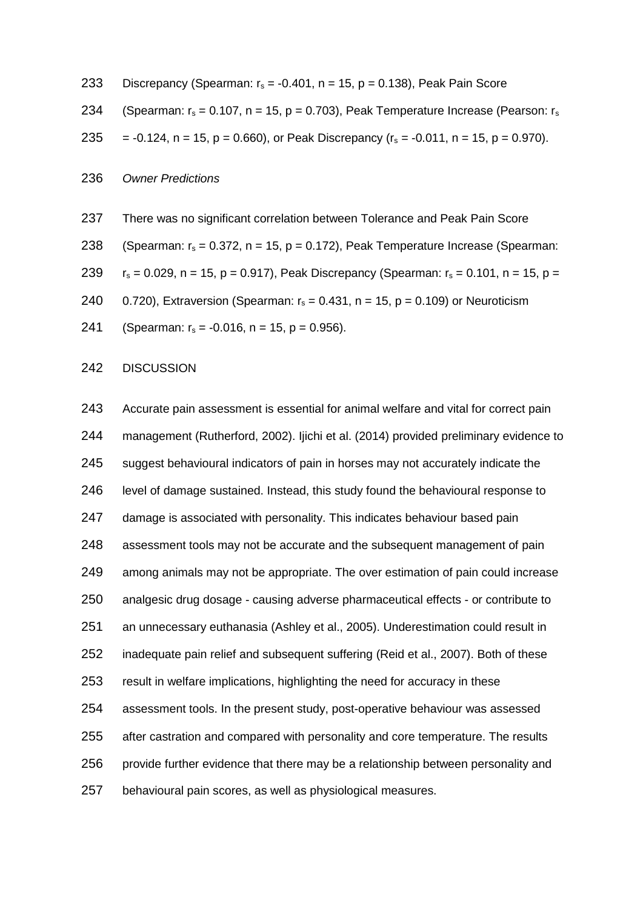|  |  | 233 Discrepancy (Spearman: $r_s = -0.401$ , n = 15, p = 0.138), Peak Pain Score |  |
|--|--|---------------------------------------------------------------------------------|--|
|  |  |                                                                                 |  |

234 (Spearman:  $r_s = 0.107$ , n = 15, p = 0.703), Peak Temperature Increase (Pearson:  $r_s$ 

235 = -0.124, n = 15, p = 0.660), or Peak Discrepancy  $(r_s = -0.011, n = 15, p = 0.970)$ .

### *Owner Predictions*

There was no significant correlation between Tolerance and Peak Pain Score

238 (Spearman: 
$$
r_s = 0.372
$$
,  $n = 15$ ,  $p = 0.172$ ), Peak Temperature Increase (Spearman:

239  $r_s = 0.029$ , n = 15, p = 0.917), Peak Discrepancy (Spearman:  $r_s = 0.101$ , n = 15, p =

240 0.720), Extraversion (Spearman:  $r_s = 0.431$ , n = 15, p = 0.109) or Neuroticism

241 (Spearman:  $r_s = -0.016$ , n = 15, p = 0.956).

#### DISCUSSION

 Accurate pain assessment is essential for animal welfare and vital for correct pain management (Rutherford, 2002). Ijichi et al. (2014) provided preliminary evidence to suggest behavioural indicators of pain in horses may not accurately indicate the level of damage sustained. Instead, this study found the behavioural response to damage is associated with personality. This indicates behaviour based pain assessment tools may not be accurate and the subsequent management of pain among animals may not be appropriate. The over estimation of pain could increase analgesic drug dosage - causing adverse pharmaceutical effects - or contribute to an unnecessary euthanasia (Ashley et al., 2005). Underestimation could result in inadequate pain relief and subsequent suffering (Reid et al., 2007). Both of these result in welfare implications, highlighting the need for accuracy in these assessment tools. In the present study, post-operative behaviour was assessed after castration and compared with personality and core temperature. The results provide further evidence that there may be a relationship between personality and behavioural pain scores, as well as physiological measures.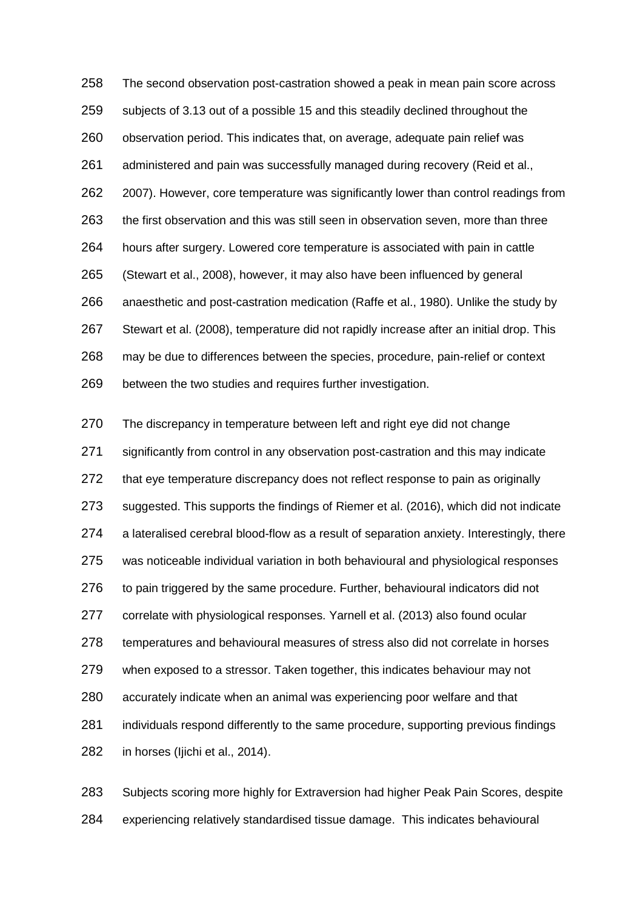The second observation post-castration showed a peak in mean pain score across subjects of 3.13 out of a possible 15 and this steadily declined throughout the observation period. This indicates that, on average, adequate pain relief was administered and pain was successfully managed during recovery (Reid et al., 2007). However, core temperature was significantly lower than control readings from the first observation and this was still seen in observation seven, more than three hours after surgery. Lowered core temperature is associated with pain in cattle (Stewart et al., 2008), however, it may also have been influenced by general anaesthetic and post-castration medication (Raffe et al., 1980). Unlike the study by Stewart et al. (2008), temperature did not rapidly increase after an initial drop. This may be due to differences between the species, procedure, pain-relief or context between the two studies and requires further investigation.

 The discrepancy in temperature between left and right eye did not change significantly from control in any observation post-castration and this may indicate 272 that eve temperature discrepancy does not reflect response to pain as originally suggested. This supports the findings of Riemer et al. (2016), which did not indicate a lateralised cerebral blood-flow as a result of separation anxiety. Interestingly, there was noticeable individual variation in both behavioural and physiological responses 276 to pain triggered by the same procedure. Further, behavioural indicators did not correlate with physiological responses. Yarnell et al. (2013) also found ocular temperatures and behavioural measures of stress also did not correlate in horses when exposed to a stressor. Taken together, this indicates behaviour may not accurately indicate when an animal was experiencing poor welfare and that individuals respond differently to the same procedure, supporting previous findings in horses (Ijichi et al., 2014).

 Subjects scoring more highly for Extraversion had higher Peak Pain Scores, despite experiencing relatively standardised tissue damage. This indicates behavioural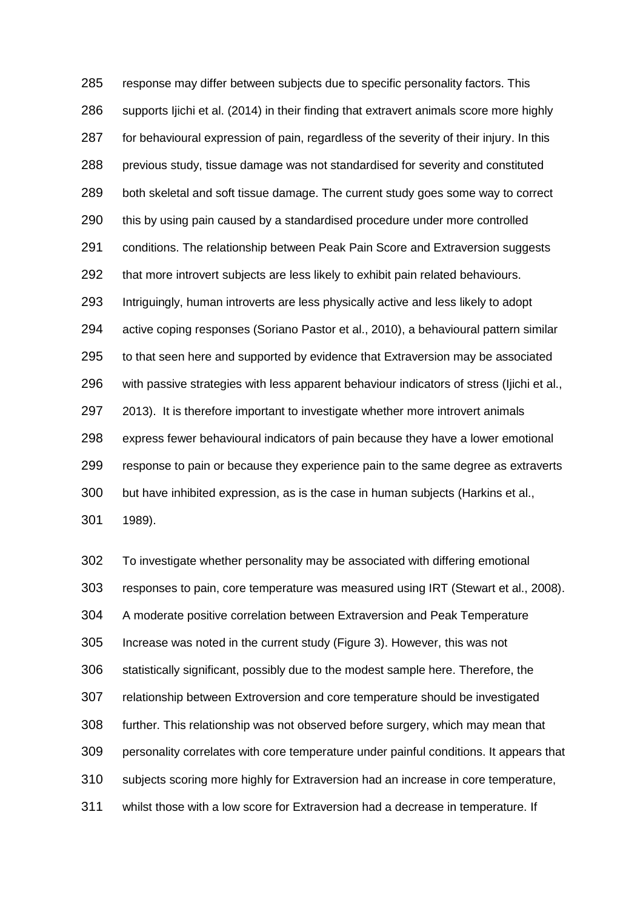response may differ between subjects due to specific personality factors. This supports Ijichi et al. (2014) in their finding that extravert animals score more highly 287 for behavioural expression of pain, regardless of the severity of their injury. In this previous study, tissue damage was not standardised for severity and constituted both skeletal and soft tissue damage. The current study goes some way to correct this by using pain caused by a standardised procedure under more controlled conditions. The relationship between Peak Pain Score and Extraversion suggests 292 that more introvert subjects are less likely to exhibit pain related behaviours. Intriguingly, human introverts are less physically active and less likely to adopt active coping responses (Soriano Pastor et al., 2010), a behavioural pattern similar to that seen here and supported by evidence that Extraversion may be associated with passive strategies with less apparent behaviour indicators of stress (Ijichi et al., 2013). It is therefore important to investigate whether more introvert animals express fewer behavioural indicators of pain because they have a lower emotional response to pain or because they experience pain to the same degree as extraverts but have inhibited expression, as is the case in human subjects (Harkins et al., 1989).

 To investigate whether personality may be associated with differing emotional responses to pain, core temperature was measured using IRT (Stewart et al., 2008). A moderate positive correlation between Extraversion and Peak Temperature Increase was noted in the current study (Figure 3). However, this was not statistically significant, possibly due to the modest sample here. Therefore, the relationship between Extroversion and core temperature should be investigated further. This relationship was not observed before surgery, which may mean that personality correlates with core temperature under painful conditions. It appears that subjects scoring more highly for Extraversion had an increase in core temperature, whilst those with a low score for Extraversion had a decrease in temperature. If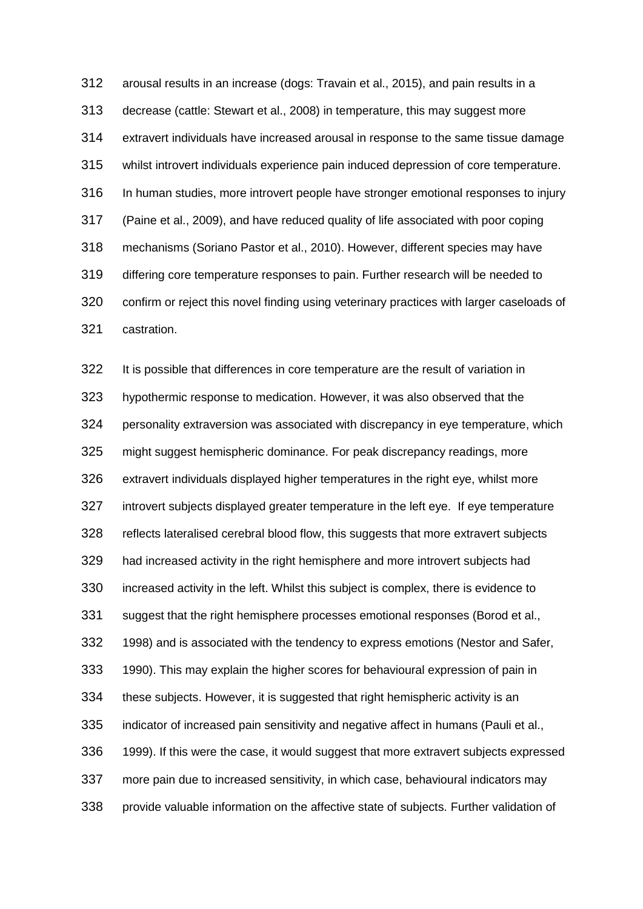arousal results in an increase (dogs: Travain et al., 2015), and pain results in a decrease (cattle: Stewart et al., 2008) in temperature, this may suggest more extravert individuals have increased arousal in response to the same tissue damage whilst introvert individuals experience pain induced depression of core temperature. In human studies, more introvert people have stronger emotional responses to injury (Paine et al., 2009), and have reduced quality of life associated with poor coping mechanisms (Soriano Pastor et al., 2010). However, different species may have differing core temperature responses to pain. Further research will be needed to confirm or reject this novel finding using veterinary practices with larger caseloads of castration.

 It is possible that differences in core temperature are the result of variation in hypothermic response to medication. However, it was also observed that the personality extraversion was associated with discrepancy in eye temperature, which might suggest hemispheric dominance. For peak discrepancy readings, more extravert individuals displayed higher temperatures in the right eye, whilst more introvert subjects displayed greater temperature in the left eye. If eye temperature reflects lateralised cerebral blood flow, this suggests that more extravert subjects had increased activity in the right hemisphere and more introvert subjects had increased activity in the left. Whilst this subject is complex, there is evidence to suggest that the right hemisphere processes emotional responses (Borod et al., 1998) and is associated with the tendency to express emotions (Nestor and Safer, 1990). This may explain the higher scores for behavioural expression of pain in 334 these subjects. However, it is suggested that right hemispheric activity is an indicator of increased pain sensitivity and negative affect in humans (Pauli et al., 1999). If this were the case, it would suggest that more extravert subjects expressed more pain due to increased sensitivity, in which case, behavioural indicators may provide valuable information on the affective state of subjects. Further validation of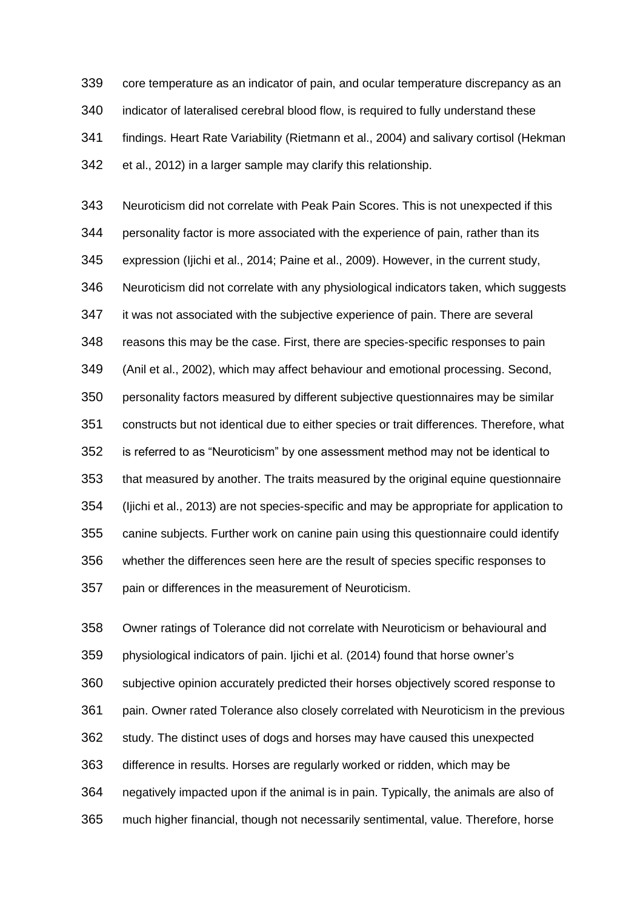core temperature as an indicator of pain, and ocular temperature discrepancy as an indicator of lateralised cerebral blood flow, is required to fully understand these findings. Heart Rate Variability (Rietmann et al., 2004) and salivary cortisol (Hekman et al., 2012) in a larger sample may clarify this relationship.

 Neuroticism did not correlate with Peak Pain Scores. This is not unexpected if this personality factor is more associated with the experience of pain, rather than its expression (Ijichi et al., 2014; Paine et al., 2009). However, in the current study, Neuroticism did not correlate with any physiological indicators taken, which suggests it was not associated with the subjective experience of pain. There are several reasons this may be the case. First, there are species-specific responses to pain (Anil et al., 2002), which may affect behaviour and emotional processing. Second, personality factors measured by different subjective questionnaires may be similar constructs but not identical due to either species or trait differences. Therefore, what is referred to as "Neuroticism" by one assessment method may not be identical to that measured by another. The traits measured by the original equine questionnaire (Ijichi et al., 2013) are not species-specific and may be appropriate for application to canine subjects. Further work on canine pain using this questionnaire could identify whether the differences seen here are the result of species specific responses to pain or differences in the measurement of Neuroticism.

 Owner ratings of Tolerance did not correlate with Neuroticism or behavioural and physiological indicators of pain. Ijichi et al. (2014) found that horse owner's subjective opinion accurately predicted their horses objectively scored response to pain. Owner rated Tolerance also closely correlated with Neuroticism in the previous study. The distinct uses of dogs and horses may have caused this unexpected difference in results. Horses are regularly worked or ridden, which may be negatively impacted upon if the animal is in pain. Typically, the animals are also of much higher financial, though not necessarily sentimental, value. Therefore, horse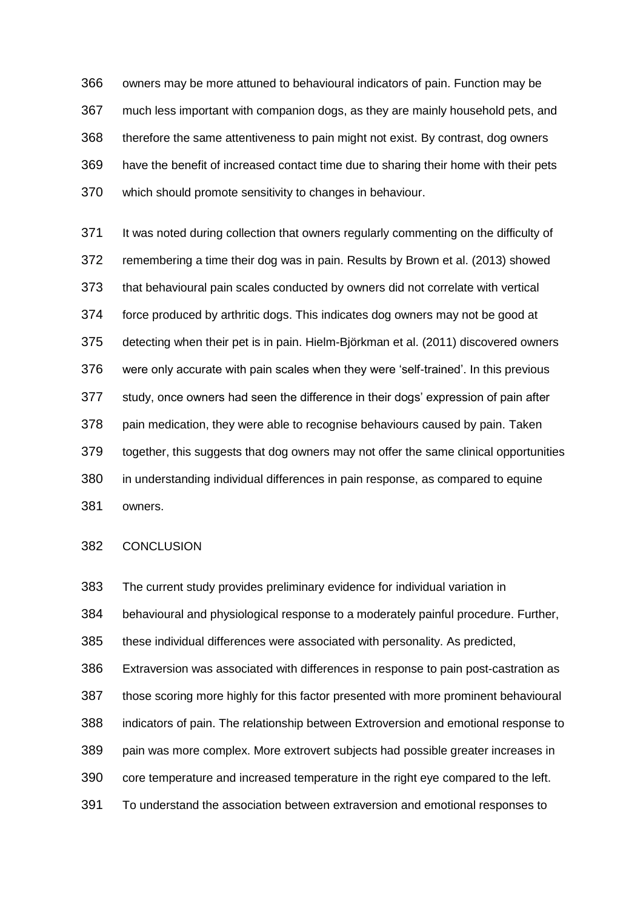owners may be more attuned to behavioural indicators of pain. Function may be much less important with companion dogs, as they are mainly household pets, and therefore the same attentiveness to pain might not exist. By contrast, dog owners have the benefit of increased contact time due to sharing their home with their pets which should promote sensitivity to changes in behaviour.

371 It was noted during collection that owners regularly commenting on the difficulty of remembering a time their dog was in pain. Results by Brown et al. (2013) showed that behavioural pain scales conducted by owners did not correlate with vertical force produced by arthritic dogs. This indicates dog owners may not be good at detecting when their pet is in pain. Hielm-Björkman et al. (2011) discovered owners were only accurate with pain scales when they were 'self-trained'. In this previous study, once owners had seen the difference in their dogs' expression of pain after pain medication, they were able to recognise behaviours caused by pain. Taken together, this suggests that dog owners may not offer the same clinical opportunities in understanding individual differences in pain response, as compared to equine owners.

#### CONCLUSION

 behavioural and physiological response to a moderately painful procedure. Further, these individual differences were associated with personality. As predicted, Extraversion was associated with differences in response to pain post-castration as those scoring more highly for this factor presented with more prominent behavioural indicators of pain. The relationship between Extroversion and emotional response to pain was more complex. More extrovert subjects had possible greater increases in core temperature and increased temperature in the right eye compared to the left. To understand the association between extraversion and emotional responses to

The current study provides preliminary evidence for individual variation in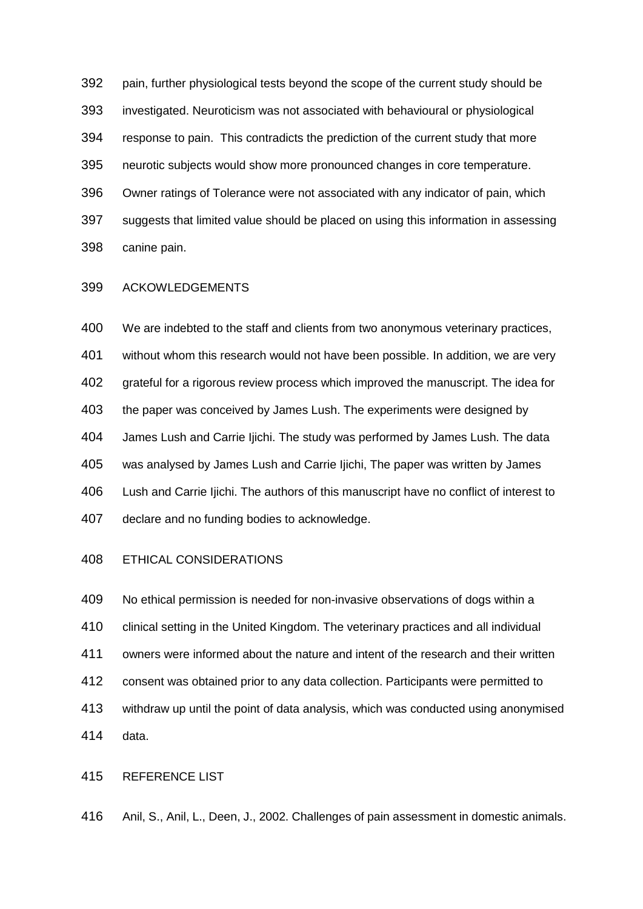pain, further physiological tests beyond the scope of the current study should be investigated. Neuroticism was not associated with behavioural or physiological response to pain. This contradicts the prediction of the current study that more neurotic subjects would show more pronounced changes in core temperature. Owner ratings of Tolerance were not associated with any indicator of pain, which suggests that limited value should be placed on using this information in assessing canine pain.

## ACKOWLEDGEMENTS

 We are indebted to the staff and clients from two anonymous veterinary practices, without whom this research would not have been possible. In addition, we are very grateful for a rigorous review process which improved the manuscript. The idea for 403 the paper was conceived by James Lush. The experiments were designed by James Lush and Carrie Ijichi. The study was performed by James Lush. The data was analysed by James Lush and Carrie Ijichi, The paper was written by James Lush and Carrie Ijichi. The authors of this manuscript have no conflict of interest to declare and no funding bodies to acknowledge.

#### ETHICAL CONSIDERATIONS

 No ethical permission is needed for non-invasive observations of dogs within a clinical setting in the United Kingdom. The veterinary practices and all individual owners were informed about the nature and intent of the research and their written consent was obtained prior to any data collection. Participants were permitted to withdraw up until the point of data analysis, which was conducted using anonymised data.

# REFERENCE LIST

Anil, S., Anil, L., Deen, J., 2002. Challenges of pain assessment in domestic animals.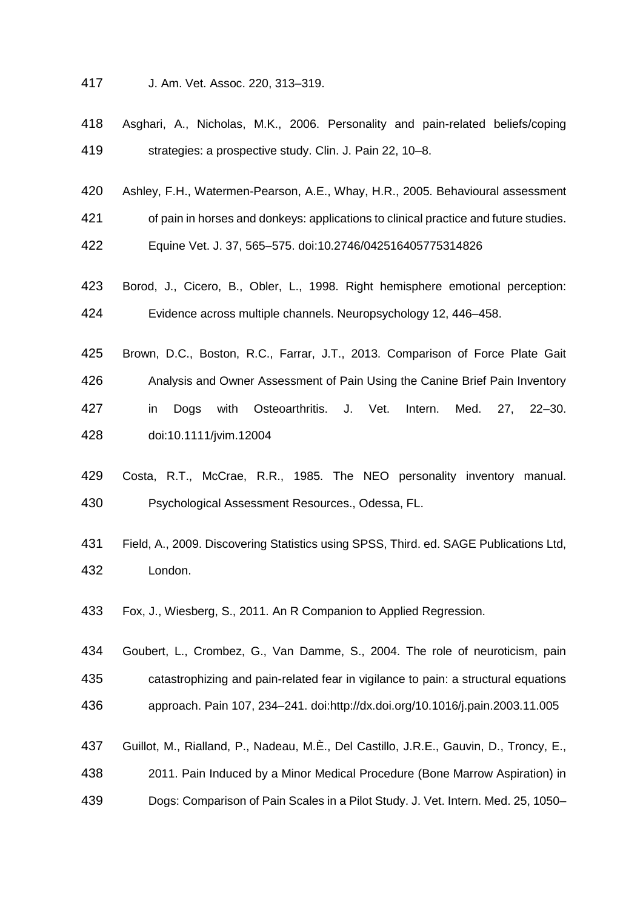- J. Am. Vet. Assoc. 220, 313–319.
- Asghari, A., Nicholas, M.K., 2006. Personality and pain-related beliefs/coping strategies: a prospective study. Clin. J. Pain 22, 10–8.
- Ashley, F.H., Watermen-Pearson, A.E., Whay, H.R., 2005. Behavioural assessment

of pain in horses and donkeys: applications to clinical practice and future studies.

Equine Vet. J. 37, 565–575. doi:10.2746/042516405775314826

- Borod, J., Cicero, B., Obler, L., 1998. Right hemisphere emotional perception: Evidence across multiple channels. Neuropsychology 12, 446–458.
- Brown, D.C., Boston, R.C., Farrar, J.T., 2013. Comparison of Force Plate Gait Analysis and Owner Assessment of Pain Using the Canine Brief Pain Inventory in Dogs with Osteoarthritis. J. Vet. Intern. Med. 27, 22–30. doi:10.1111/jvim.12004
- Costa, R.T., McCrae, R.R., 1985. The NEO personality inventory manual. Psychological Assessment Resources., Odessa, FL.
- Field, A., 2009. Discovering Statistics using SPSS, Third. ed. SAGE Publications Ltd, London.
- Fox, J., Wiesberg, S., 2011. An R Companion to Applied Regression.
- Goubert, L., Crombez, G., Van Damme, S., 2004. The role of neuroticism, pain catastrophizing and pain-related fear in vigilance to pain: a structural equations approach. Pain 107, 234–241. doi:http://dx.doi.org/10.1016/j.pain.2003.11.005
- Guillot, M., Rialland, P., Nadeau, M.È., Del Castillo, J.R.E., Gauvin, D., Troncy, E., 2011. Pain Induced by a Minor Medical Procedure (Bone Marrow Aspiration) in Dogs: Comparison of Pain Scales in a Pilot Study. J. Vet. Intern. Med. 25, 1050–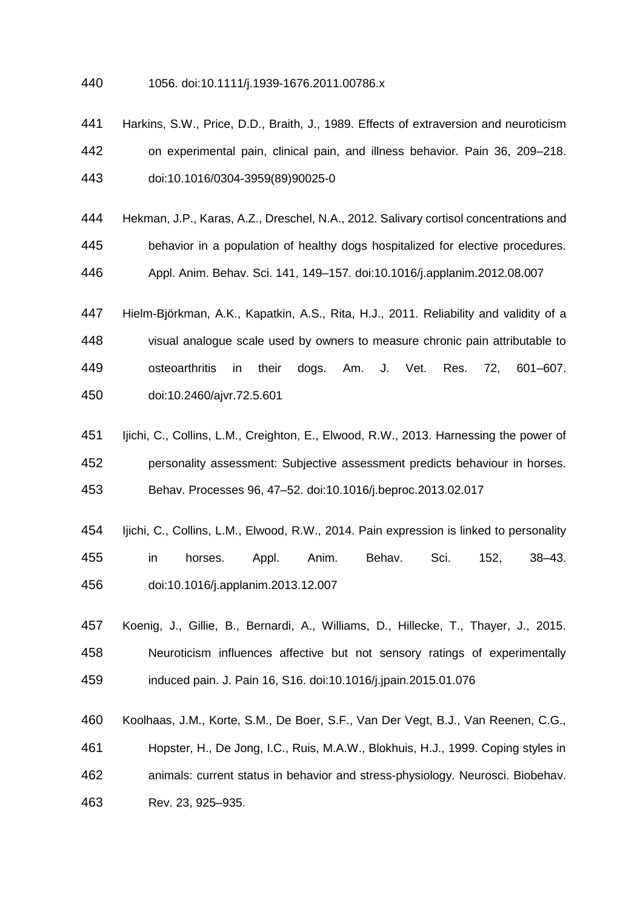- 1056. doi:10.1111/j.1939-1676.2011.00786.x
- Harkins, S.W., Price, D.D., Braith, J., 1989. Effects of extraversion and neuroticism on experimental pain, clinical pain, and illness behavior. Pain 36, 209–218. doi:10.1016/0304-3959(89)90025-0
- Hekman, J.P., Karas, A.Z., Dreschel, N.A., 2012. Salivary cortisol concentrations and behavior in a population of healthy dogs hospitalized for elective procedures. Appl. Anim. Behav. Sci. 141, 149–157. doi:10.1016/j.applanim.2012.08.007
- Hielm-Björkman, A.K., Kapatkin, A.S., Rita, H.J., 2011. Reliability and validity of a visual analogue scale used by owners to measure chronic pain attributable to osteoarthritis in their dogs. Am. J. Vet. Res. 72, 601–607. doi:10.2460/ajvr.72.5.601
- Ijichi, C., Collins, L.M., Creighton, E., Elwood, R.W., 2013. Harnessing the power of personality assessment: Subjective assessment predicts behaviour in horses. Behav. Processes 96, 47–52. doi:10.1016/j.beproc.2013.02.017
- Ijichi, C., Collins, L.M., Elwood, R.W., 2014. Pain expression is linked to personality in horses. Appl. Anim. Behav. Sci. 152, 38–43. doi:10.1016/j.applanim.2013.12.007
- Koenig, J., Gillie, B., Bernardi, A., Williams, D., Hillecke, T., Thayer, J., 2015. Neuroticism influences affective but not sensory ratings of experimentally induced pain. J. Pain 16, S16. doi:10.1016/j.jpain.2015.01.076
- Koolhaas, J.M., Korte, S.M., De Boer, S.F., Van Der Vegt, B.J., Van Reenen, C.G., Hopster, H., De Jong, I.C., Ruis, M.A.W., Blokhuis, H.J., 1999. Coping styles in animals: current status in behavior and stress-physiology. Neurosci. Biobehav. Rev. 23, 925–935.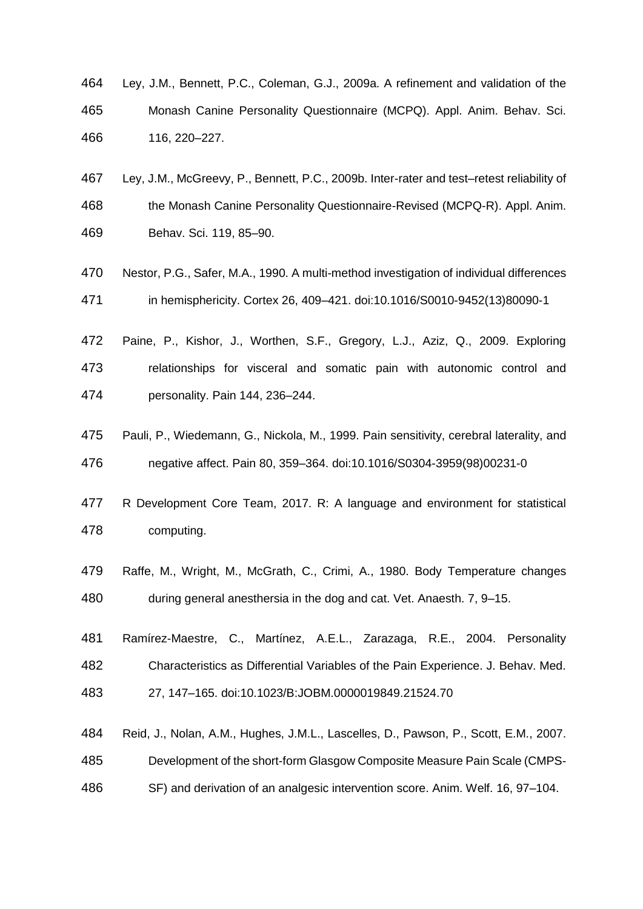- Ley, J.M., Bennett, P.C., Coleman, G.J., 2009a. A refinement and validation of the Monash Canine Personality Questionnaire (MCPQ). Appl. Anim. Behav. Sci. 116, 220–227.
- Ley, J.M., McGreevy, P., Bennett, P.C., 2009b. Inter-rater and test–retest reliability of the Monash Canine Personality Questionnaire-Revised (MCPQ-R). Appl. Anim. Behav. Sci. 119, 85–90.
- Nestor, P.G., Safer, M.A., 1990. A multi-method investigation of individual differences in hemisphericity. Cortex 26, 409–421. doi:10.1016/S0010-9452(13)80090-1
- Paine, P., Kishor, J., Worthen, S.F., Gregory, L.J., Aziz, Q., 2009. Exploring relationships for visceral and somatic pain with autonomic control and personality. Pain 144, 236–244.
- Pauli, P., Wiedemann, G., Nickola, M., 1999. Pain sensitivity, cerebral laterality, and negative affect. Pain 80, 359–364. doi:10.1016/S0304-3959(98)00231-0
- R Development Core Team, 2017. R: A language and environment for statistical computing.
- Raffe, M., Wright, M., McGrath, C., Crimi, A., 1980. Body Temperature changes during general anesthersia in the dog and cat. Vet. Anaesth. 7, 9–15.
- Ramírez-Maestre, C., Martínez, A.E.L., Zarazaga, R.E., 2004. Personality Characteristics as Differential Variables of the Pain Experience. J. Behav. Med. 27, 147–165. doi:10.1023/B:JOBM.0000019849.21524.70
- Reid, J., Nolan, A.M., Hughes, J.M.L., Lascelles, D., Pawson, P., Scott, E.M., 2007. Development of the short-form Glasgow Composite Measure Pain Scale (CMPS-
- SF) and derivation of an analgesic intervention score. Anim. Welf. 16, 97–104.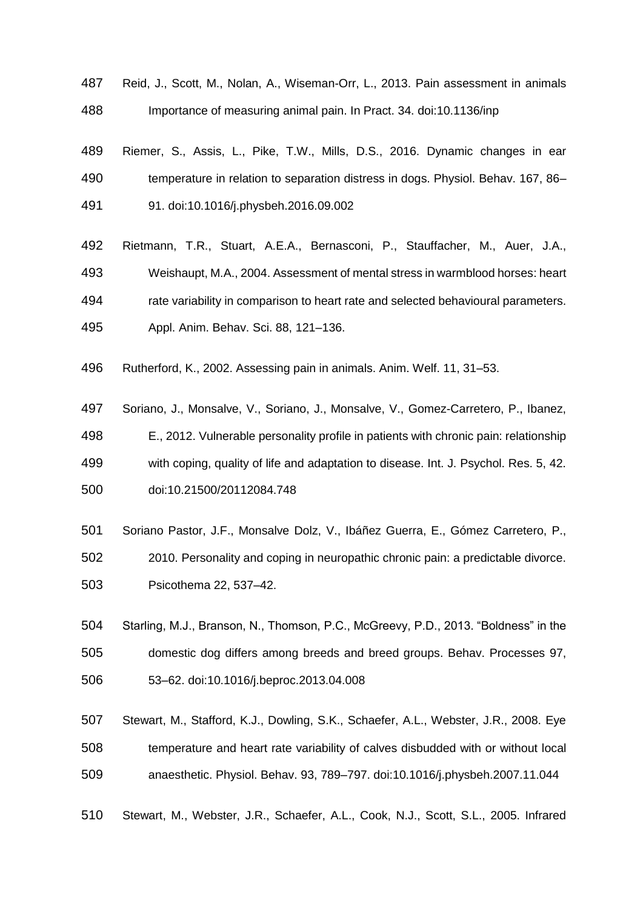- Reid, J., Scott, M., Nolan, A., Wiseman-Orr, L., 2013. Pain assessment in animals Importance of measuring animal pain. In Pract. 34. doi:10.1136/inp
- Riemer, S., Assis, L., Pike, T.W., Mills, D.S., 2016. Dynamic changes in ear temperature in relation to separation distress in dogs. Physiol. Behav. 167, 86– 91. doi:10.1016/j.physbeh.2016.09.002
- Rietmann, T.R., Stuart, A.E.A., Bernasconi, P., Stauffacher, M., Auer, J.A., Weishaupt, M.A., 2004. Assessment of mental stress in warmblood horses: heart rate variability in comparison to heart rate and selected behavioural parameters. Appl. Anim. Behav. Sci. 88, 121–136.
- Rutherford, K., 2002. Assessing pain in animals. Anim. Welf. 11, 31–53.
- Soriano, J., Monsalve, V., Soriano, J., Monsalve, V., Gomez-Carretero, P., Ibanez, E., 2012. Vulnerable personality profile in patients with chronic pain: relationship with coping, quality of life and adaptation to disease. Int. J. Psychol. Res. 5, 42. doi:10.21500/20112084.748
- Soriano Pastor, J.F., Monsalve Dolz, V., Ibáñez Guerra, E., Gómez Carretero, P., 2010. Personality and coping in neuropathic chronic pain: a predictable divorce. Psicothema 22, 537–42.
- Starling, M.J., Branson, N., Thomson, P.C., McGreevy, P.D., 2013. "Boldness" in the domestic dog differs among breeds and breed groups. Behav. Processes 97, 53–62. doi:10.1016/j.beproc.2013.04.008
- Stewart, M., Stafford, K.J., Dowling, S.K., Schaefer, A.L., Webster, J.R., 2008. Eye temperature and heart rate variability of calves disbudded with or without local anaesthetic. Physiol. Behav. 93, 789–797. doi:10.1016/j.physbeh.2007.11.044
- Stewart, M., Webster, J.R., Schaefer, A.L., Cook, N.J., Scott, S.L., 2005. Infrared